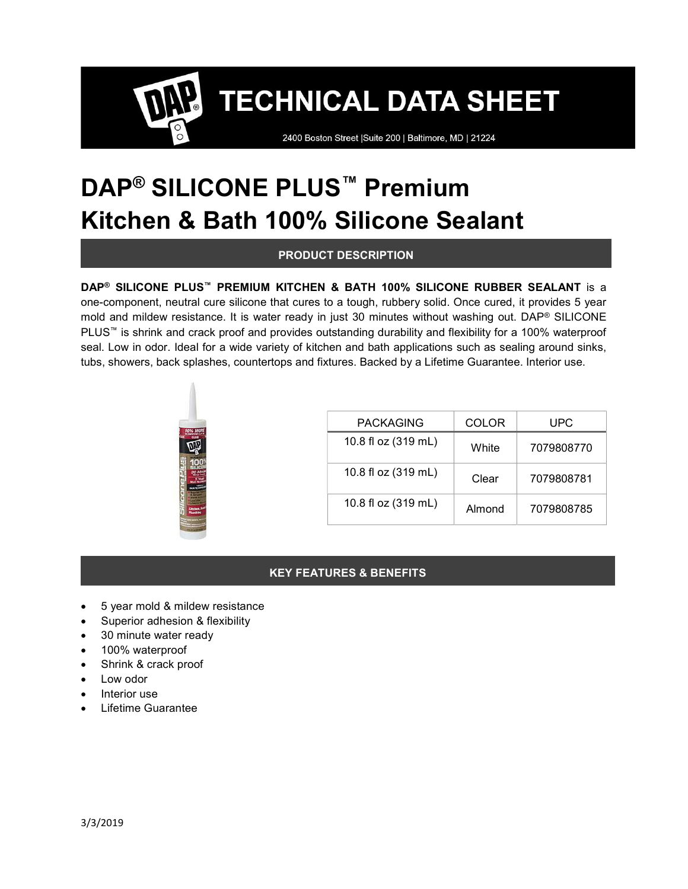2400 Boston Street | Suite 200 | Baltimore, MD | 21224

# DAP<sup>®</sup> SILICONE PLUS<sup>™</sup> Premium Kitchen & Bath 100% Silicone Sealant

## PRODUCT DESCRIPTION

#### DAP® SILICONE PLUS™ PREMIUM KITCHEN & BATH 100% SILICONE RUBBER SEALANT is a

one-component, neutral cure silicone that cures to a tough, rubbery solid. Once cured, it provides 5 year mold and mildew resistance. It is water ready in just 30 minutes without washing out. DAP® SILICONE PLUS<sup>™</sup> is shrink and crack proof and provides outstanding durability and flexibility for a 100% waterproof seal. Low in odor. Ideal for a wide variety of kitchen and bath applications such as sealing around sinks, tubs, showers, back splashes, countertops and fixtures. Backed by a Lifetime Guarantee. Interior use.



| <b>PACKAGING</b>    | <b>COLOR</b> | UPC        |
|---------------------|--------------|------------|
| 10.8 fl oz (319 mL) | White        | 7079808770 |
| 10.8 fl oz (319 mL) | Clear        | 7079808781 |
| 10.8 fl oz (319 mL) | Almond       | 7079808785 |

#### KEY FEATURES & BENEFITS

- 5 year mold & mildew resistance
- Superior adhesion & flexibility
- 30 minute water ready
- 100% waterproof
- Shrink & crack proof
- Low odor
- Interior use
- Lifetime Guarantee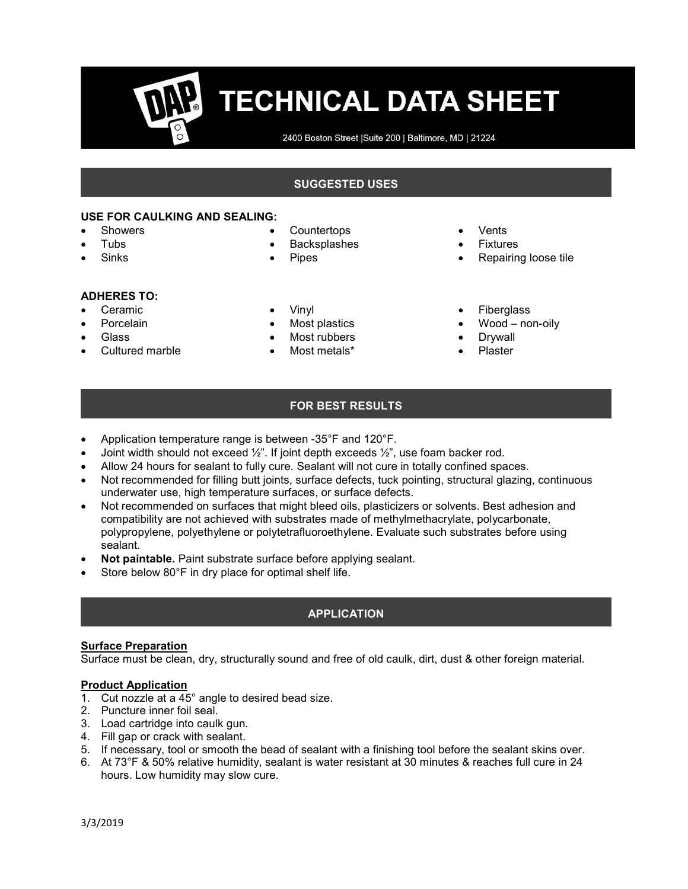2400 Boston Street | Suite 200 | Baltimore, MD | 21224

### SUGGESTED USES

#### USE FOR CAULKING AND SEALING:

- Showers
- Tubs
- Sinks
- **Countertops**
- Backsplashes
- Pipes

- ADHERES TO:
- Ceramic
- Porcelain
- **Glass**
- Cultured marble
- Vinyl
- Most plastics
- Most rubbers
- Most metals\*
- Vents
- Fixtures
- Repairing loose tile
- Fiberglass
- Wood non-oily
- Drywall
- Plaster

## FOR BEST RESULTS

- Application temperature range is between -35°F and 120°F.
- Joint width should not exceed ½". If joint depth exceeds ½", use foam backer rod.
- Allow 24 hours for sealant to fully cure. Sealant will not cure in totally confined spaces.
- Not recommended for filling butt joints, surface defects, tuck pointing, structural glazing, continuous underwater use, high temperature surfaces, or surface defects.
- Not recommended on surfaces that might bleed oils, plasticizers or solvents. Best adhesion and compatibility are not achieved with substrates made of methylmethacrylate, polycarbonate, polypropylene, polyethylene or polytetrafluoroethylene. Evaluate such substrates before using sealant.
- Not paintable. Paint substrate surface before applying sealant.
- Store below 80°F in dry place for optimal shelf life.

#### APPLICATION

#### **Surface Preparation**

Surface must be clean, dry, structurally sound and free of old caulk, dirt, dust & other foreign material.

#### Product Application

- 1. Cut nozzle at a  $45^\circ$  angle to desired bead size.
- 2. Puncture inner foil seal.
- 3. Load cartridge into caulk gun.
- 4. Fill gap or crack with sealant.
- 5. If necessary, tool or smooth the bead of sealant with a finishing tool before the sealant skins over.
- 6. At 73°F & 50% relative humidity, sealant is water resistant at 30 minutes & reaches full cure in 24 hours. Low humidity may slow cure.
- 
- 
- 
- 
-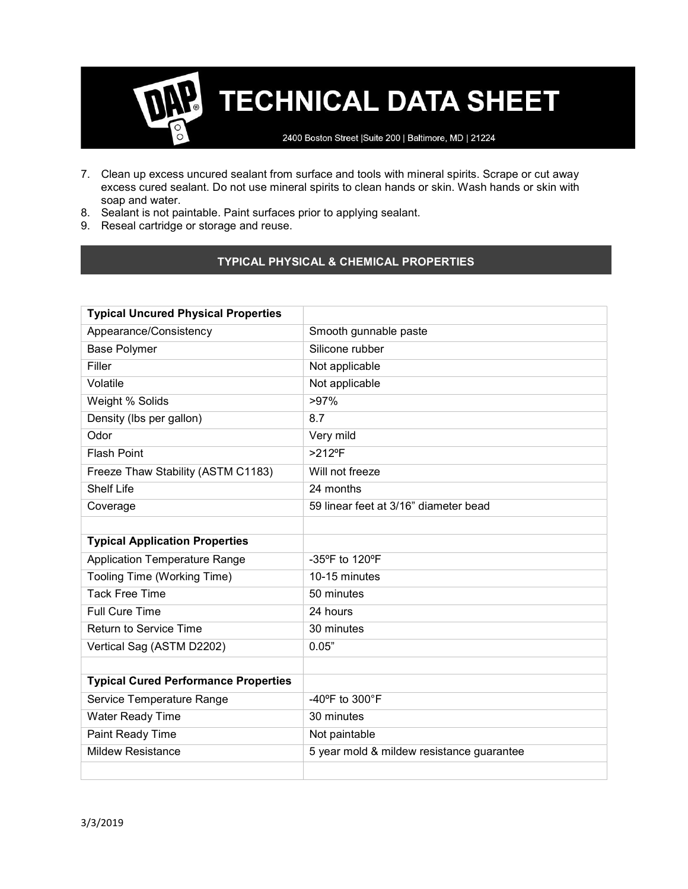2400 Boston Street | Suite 200 | Baltimore, MD | 21224

- 7. Clean up excess uncured sealant from surface and tools with mineral spirits. Scrape or cut away excess cured sealant. Do not use mineral spirits to clean hands or skin. Wash hands or skin with soap and water.
- 8. Sealant is not paintable. Paint surfaces prior to applying sealant.
- 9. Reseal cartridge or storage and reuse.

# TYPICAL PHYSICAL & CHEMICAL PROPERTIES

| <b>Typical Uncured Physical Properties</b>  |                                           |  |
|---------------------------------------------|-------------------------------------------|--|
| Appearance/Consistency                      | Smooth gunnable paste                     |  |
| <b>Base Polymer</b>                         | Silicone rubber                           |  |
| Filler                                      | Not applicable                            |  |
| Volatile                                    | Not applicable                            |  |
| Weight % Solids                             | >97%                                      |  |
| Density (Ibs per gallon)                    | 8.7                                       |  |
| Odor                                        | Very mild                                 |  |
| <b>Flash Point</b>                          | $>212$ °F                                 |  |
| Freeze Thaw Stability (ASTM C1183)          | Will not freeze                           |  |
| <b>Shelf Life</b>                           | 24 months                                 |  |
| Coverage                                    | 59 linear feet at 3/16" diameter bead     |  |
|                                             |                                           |  |
| <b>Typical Application Properties</b>       |                                           |  |
| <b>Application Temperature Range</b>        | -35°F to 120°F                            |  |
| Tooling Time (Working Time)                 | 10-15 minutes                             |  |
| <b>Tack Free Time</b>                       | 50 minutes                                |  |
| <b>Full Cure Time</b>                       | 24 hours                                  |  |
| <b>Return to Service Time</b>               | 30 minutes                                |  |
| Vertical Sag (ASTM D2202)                   | 0.05"                                     |  |
|                                             |                                           |  |
| <b>Typical Cured Performance Properties</b> |                                           |  |
| Service Temperature Range                   | -40°F to 300°F                            |  |
| <b>Water Ready Time</b>                     | 30 minutes                                |  |
| Paint Ready Time                            | Not paintable                             |  |
| <b>Mildew Resistance</b>                    | 5 year mold & mildew resistance guarantee |  |
|                                             |                                           |  |